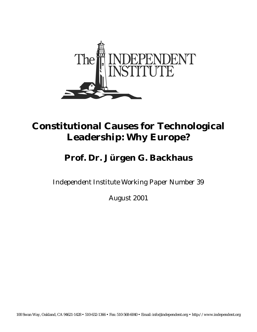

# **Constitutional Causes for Technological Leadership: Why Europe?**

# **Prof. Dr. Jürgen G. Backhaus**

*Independent Institute Working Paper Number 39* 

August 2001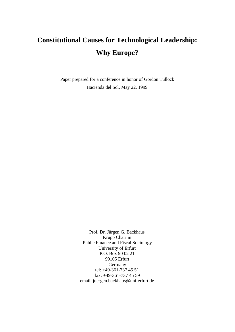# **Constitutional Causes for Technological Leadership: Why Europe?**

Paper prepared for a conference in honor of Gordon Tullock Hacienda del Sol, May 22, 1999

> Prof. Dr. Jürgen G. Backhaus Krupp Chair in Public Finance and Fiscal Sociology University of Erfurt P.O. Box 90 02 21 99105 Erfurt Germany tel: +49-361-737 45 51 fax: +49-361-737 45 59 email: juergen.backhaus@uni-erfurt.de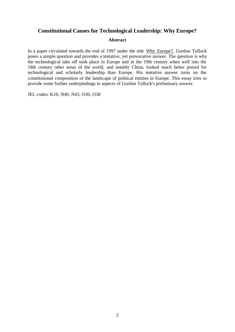# **Constitutional Causes for Technological Leadership: Why Europe?**

# **Abstract**

In a paper circulated towards the end of 1997 under the title Why Europe?, Gordon Tullock poses a simple question and provides a tentative, yet provocative answer. The question is why the technological take off took place in Europe and in the 19th century when well into the 18th century other areas of the world, and notably China, looked much better poised for technological and scholarly leadership than Europe. His tentative answer turns on the constitutional composition of the landscape of political entities in Europe. This essay tries to provide some further underpindings to aspects of Gordon Tullock's preliminary answer.

JEL codes: K10, N40, N43, O30, O38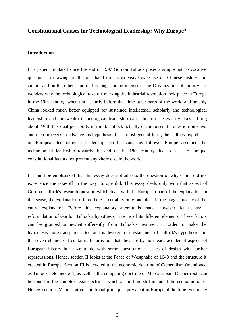# **Constitutional Causes for Technological Leadership: Why Europe?**

### **Introduction**

In a paper circulated since the end of 1997 Gordon Tullock poses a simple but provocative question. In drawing on the one hand on his extensive expertise on Chinese history and culture and on the other hand on his longstanding interest in the  $Organization$  of Inquiry<sup>1</sup> he wonders why the technological take off marking the industrial revolution took place in Europe in the 19th century, when until shortly before that time other parts of the world and notably China looked much better equipped for sustained intellectual, scholarly and technological leadership and the wealth technological leadership can - but not necessarily does - bring about. With this dual possibility in mind, Tullock actually decomposes the question into two and then proceeds to advance his hypothesis. In its most general form, the Tullock hypothesis on European technological leadership can be stated as follows: Europe assumed the technological leadership towards the end of the 18th century due to a set of unique constitutional factors not present anywhere else in the world.

It should be emphasized that this essay does not address the question of why China did not experience the take-off in the way Europe did. This essay deals only with that aspect of Gordon Tullock's research question which deals with the European part of the explanation. In this sense, the explanation offered here is certainly only one piece in the bigger mosaic of the entire explanation. Before this explanatory attempt is made, however, let us try a reformulation of Gordon Tullock's hypothesis in terms of its different elements. These factors can be grouped somewhat differently from Tullock's treatment in order to make the hypothesis more transparent. Section I is devoted to a restatement of Tullock's hypothesis and the seven elements it contains. It turns out that they are by no means accidental aspects of European history but have to do with some constitutional issues of design with further repercussions. Hence, section II looks at the Peace of Westphalia of 1648 and the structure it created in Europe. Section III is devoted to the economic doctrine of Cameralism (mentioned as Tullock's element # 4) as well as the competing doctrine of Mercantilism. Deeper roots can be found in the complex legal doctrines which at the time still included the economic ones. Hence, section IV looks at constitutional principles prevalent in Europe at the time. Section V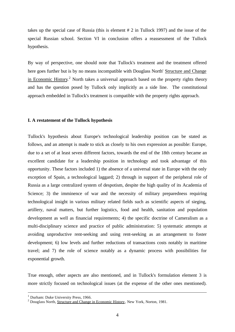takes up the special case of Russia (this is element # 2 in Tullock 1997) and the issue of the special Russian school. Section VI in conclusion offers a reassessment of the Tullock hypothesis.

By way of perspective, one should note that Tullock's treatment and the treatment offered here goes further but is by no means incompatible with Douglass North' Structure and Change in Economic History.<sup>2</sup> North takes a universal approach based on the property rights theory and has the question posed by Tullock only implicitly as a side line. The constitutional approach embedded in Tullock's treatment is compatible with the property rights approach.

## **I. A restatement of the Tullock hypothesis**

Tullock's hypothesis about Europe's technological leadership position can be stated as follows, and an attempt is made to stick as closely to his own expression as possible: Europe, due to a set of at least seven different factors, towards the end of the 18th century became an excellent candidate for a leadership position in technology and took advantage of this opportunity. These factors included 1) the absence of a universal state in Europe with the only exception of Spain, a technological laggard; 2) through in support of the peripheral role of Russia as a large centralized system of despotism, despite the high quality of its Academia of Science; 3) the imminence of war and the necessity of military preparedness requiring technological insight in various military related fields such as scientific aspects of sieging, artillery, naval matters, but further logistics, food and health, sanitation and population development as well as financial requirements; 4) the specific doctrine of Cameralism as a multi-disciplinary science and practice of public administration: 5) systematic attempts at avoiding unproductive rent-seeking and using rent-seeking as an arrangement to foster development; 6) low levels and further reductions of transactions costs notably in maritime travel; and 7) the role of science notably as a dynamic process with possibilities for exponential growth.

True enough, other aspects are also mentioned, and in Tullock's formulation element 3 is more strictly focused on technological issues (at the expense of the other ones mentioned).

<sup>&</sup>lt;sup>1</sup> Durham: Duke University Press, 1966.

<sup>&</sup>lt;sup>2</sup> Douglass North, Structure and Change in Economic History, New York, Norton, 1981.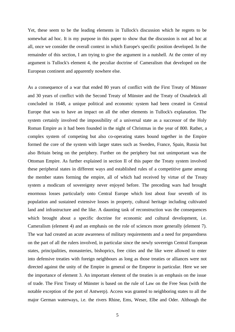Yet, these seem to be the leading elements in Tullock's discussion which he regrets to be somewhat ad hoc. It is my purpose in this paper to show that the discussion is not ad hoc at all, once we consider the overall context in which Europe's specific position developed. In the remainder of this section, I am trying to give the argument in a nutshell. At the center of my argument is Tullock's element 4, the peculiar doctrine of Cameralism that developed on the European continent and apparently nowhere else.

As a consequence of a war that ended 80 years of conflict with the First Treaty of Münster and 30 years of conflict with the Second Treaty of Münster and the Treaty of Osnabrück all concluded in 1648, a unique political and economic system had been created in Central Europe that was to have an impact on all the other elements in Tullock's explanation. The system certainly involved the impossibility of a universal state as a successor of the Holy Roman Empire as it had been founded in the night of Christmas in the year of 800. Rather, a complex system of competing but also co-operating states bound together in the Empire formed the core of the system with larger states such as Sweden, France, Spain, Russia but also Britain being on the periphery. Further on the periphery but not unimportant was the Ottoman Empire. As further explained in section II of this paper the Treaty system involved these peripheral states in different ways and established rules of a competitive game among the member states forming the empire, all of which had received by virtue of the Treaty system a modicum of sovereignty never enjoyed before. The preceding wars had brought enormous losses particularly onto Central Europe which lost about four seventh of its population and sustained extensive losses in property, cultural heritage including cultivated land and infrastructure and the like. A daunting task of reconstruction was the consequences which brought about a specific doctrine for economic and cultural development, i.e. Cameralism (element 4) and an emphasis on the role of sciences more generally (element 7). The war had created an acute awareness of military requirements and a need for preparedness on the part of all the rulers involved, in particular since the newly sovereign Central European states, principalities, monasteries, bishoprics, free cities and the like were allowed to enter into defensive treaties with foreign neighbours as long as those treaties or alliances were not directed against the unity of the Empire in general or the Emperor in particular. Here we see the importance of element 3. An important element of the treaties is an emphasis on the issue of trade. The First Treaty of Münster is based on the rule of Law on the Free Seas (with the notable exception of the port of Antwerp). Access was granted to neighboring states to all the major German waterways, i.e. the rivers Rhine, Ems, Weser, Elbe and Oder. Although the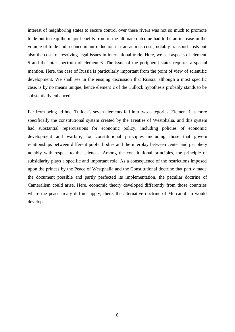interest of neighboring states to secure control over these rivers was not so much to promote trade but to reap the major benefits from it, the ultimate outcome had to be an increase in the volume of trade and a concomitant reduction in transactions costs, notably transport costs but also the costs of resolving legal issues in international trade. Here, we see aspects of element 5 and the total spectrum of element 6. The issue of the peripheral states requires a special mention. Here, the case of Russia is particularly important from the point of view of scientific development. We shall see in the ensuing discussion that Russia, although a most specific case, is by no means unique, hence element 2 of the Tullock hypothesis probably stands to be substantially enhanced.

Far from being ad hoc, Tullock's seven elements fall into two categories. Element 1 is more specifically the constitutional system created by the Treaties of Westphalia, and this system had substantial repercussions for economic policy, including policies of economic development and warfare, for constitutional principles including those that govern relationships between different public bodies and the interplay between center and periphery notably with respect to the sciences. Among the constitutional principles, the principle of subsidiarity plays a specific and important role. As a consequence of the restrictions imposed upon the princes by the Peace of Westphalia and the Constitutional doctrine that partly made the document possible and partly perfected its implementation, the peculiar doctrine of Cameralism could arise. Here, economic theory developed differently from those countries where the peace treaty did not apply; there, the alternative doctrine of Mercantilism would develop.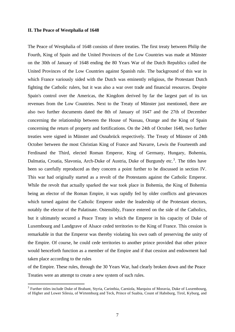### **II. The Peace of Westphalia of 1648**

l

The Peace of Westphalia of 1648 consists of three treaties. The first treaty between Philip the Fourth, King of Spain and the United Provinces of the Low Countries was made at Münster on the 30th of January of 1648 ending the 80 Years War of the Dutch Republics called the United Provinces of the Low Countries against Spanish rule. The background of this war in which France variously sided with the Dutch was eminently religious, the Protestant Dutch fighting the Catholic rulers, but it was also a war over trade and financial resources. Despite Spain's control over the Americas, the Kingdom derived by far the largest part of its tax revenues from the Low Countries. Next to the Treaty of Münster just mentioned, there are also two further documents dated the 8th of January of 1647 and the 27th of December concerning the relationship between the House of Nassau, Orange and the King of Spain concerning the return of property and fortifications. On the 24th of October 1648, two further treaties were signed in Münster and Osnabrück respectively. The Treaty of Münster of 24th October between the most Christian King of France and Navarre, Lewis the Fourteenth and Ferdinand the Third, elected Roman Emperor, King of Germany, Hungary, Bohemia, Dalmatia, Croatia, Slavonia, Arch-Duke of Austria, Duke of Burgundy etc.<sup>3</sup>. The titles have been so carefully reproduced as they concern a point further to be discussed in section IV. This war had originally started as a revolt of the Protestants against the Catholic Emperor. While the revolt that actually sparked the war took place in Bohemia, the King of Bohemia being an elector of the Roman Empire, it was rapidly fed by older conflicts and grievances which turned against the Catholic Emperor under the leadership of the Protestant electors, notably the elector of the Palatinate. Ostensibly, France entered on the side of the Catholics, but it ultimately secured a Peace Treaty in which the Emperor in his capacity of Duke of Luxembourg and Landgrave of Alsace ceded territories to the King of France. This cession is remarkable in that the Emperor was thereby violating his own oath of preserving the unity of the Empire. Of course, he could cede territories to another prince provided that other prince would henceforth function as a member of the Empire and if that cession and endowment had taken place according to the rules

of the Empire. These rules, through the 30 Years War, had clearly broken down and the Peace Treaties were an attempt to create a new system of such rules.

 $3$  Further titles include Duke of Brabant, Styria, Carinthia, Carniola, Marquiss of Moravia, Duke of Luxembourg, of Higher and Lower Silesia, of Wirtemburg and Teck, Prince of Suabia, Count of Habsburg, Tirol, Kyburg, and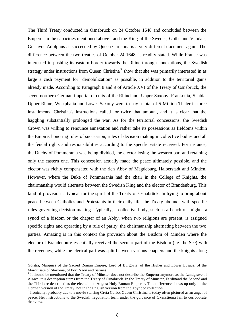The Third Treaty conducted in Osnabrück on 24 October 1648 and concluded between the Emperor in the capacities mentioned above  $4$  and the King of the Swedes, Goths and Vandals, Gustavus Adolphus as succeeded by Queen Christina is a very different document again. The difference between the two treaties of October 24 1648, is readily stated. While France was interested in pushing its eastern border towards the Rhine through annexations, the Swedish strategy under instructions from Queen Christina<sup>5</sup> show that she was primarily interested in as large a cash payment for "demobilization" as possible, in addition to the territorial gains already made. According to Paragraph 8 and 9 of Article XVI of the Treaty of Osnabrück, the seven northern German imperial circuits of the Rhineland, Upper Saxony, Frankonia, Suabia, Upper Rhine, Westphalia and Lower Saxony were to pay a total of 5 Million Thaler in three installments. Christina's instructions called for twice that amount, and it is clear that the haggling substantially prolonged the war. As for the territorial concessions, the Swedish Crown was willing to renounce annexation and rather take its possessions as fiefdoms within the Empire, honoring rules of succession, rules of decision making in collective bodies and all the feudal rights and responsibilities according to the specific estate received. For instance, the Duchy of Pommerania was being divided, the elector losing the western part and retaining only the eastern one. This concession actually made the peace ultimately possible, and the elector was richly compensated with the rich Abby of Magdeburg, Halberstadt and Minden. However, where the Duke of Pommerania had the chair in the College of Knights, the chairmanship would alternate between the Swedish King and the elector of Brandenburg. This kind of provision is typical for the spirit of the Treaty of Osnabrück. In trying to bring about peace between Catholics and Protestants in their daily life, the Treaty abounds with specific rules governing decision making. Typically, a collective body, such as a bench of knights, a synod of a bisdom or the chapter of an Abby, when two religions are present, is assigned specific rights and operating by a rule of parity, the chairmanship alternating between the two parties. Amazing is in this context the provision about the Bisdom of Minden where the elector of Brandenburg essentially received the secular part of the Bisdom (i.e. the See) with the revenues, while the clerical part was split between various chapters and the knights along

Goritia, Marquiss of the Sacred Roman Empire, Lord of Burgovia, of the Higher and Lower Lusace, of the Marquisate of Slavonia, of Port Naon and Salines.

<sup>&</sup>lt;sup>4</sup> It should be mentioned that the Treaty of Münster does not describe the Emperor anymore as the Landgrave of Alsace, this description stems from the Treaty of Osnabrück. In the Treaty of Münster, Ferdinand the Second and the Third are described as the elected and August Holy Roman Emperor. This difference shows up only in the German version of the Treaty, not in the English version from the Toynbee collection.

<sup>&</sup>lt;sup>5</sup> Ironically, probably due to a movie starring Greta Garbo, Queen Christina is today often pictured as an angel of peace. Her instructions to the Swedish negotiation team under the guidance of Oxenstierna fail to corroborate that view.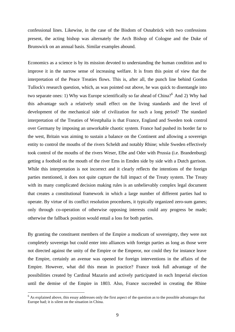confessional lines. Likewise, in the case of the Bisdom of Osnabrück with two confessions present, the acting bishop was alternately the Arch Bishop of Cologne and the Duke of Brunswick on an annual basis. Similar examples abound.

Economics as a science is by its mission devoted to understanding the human condition and to improve it in the narrow sense of increasing welfare. It is from this point of view that the interpretation of the Peace Treaties flows. This is, after all, the punch line behind Gordon Tullock's research question, which, as was pointed out above, he was quick to disentangle into two separate ones: 1) Why was Europe scientifically so far ahead of China?<sup>6</sup> And 2) Why had this advantage such a relatively small effect on the living standards and the level of development of the mechanical side of civilization for such a long period? The standard interpretation of the Treaties of Westphalia is that France, England and Sweden took control over Germany by imposing an unworkable chaotic system. France had pushed its border far to the west, Britain was aiming to sustain a balance on the Continent and allowing a sovereign entity to control the mouths of the rivers Scheldt and notably Rhine; while Sweden effectively took control of the mouths of the rivers Weser, Elbe and Oder with Prussia (i.e. Brandenburg) getting a foothold on the mouth of the river Ems in Emden side by side with a Dutch garrison. While this interpretation is not incorrect and it clearly reflects the intentions of the foreign parties mentioned, it does not quite capture the full impact of the Treaty system. The Treaty with its many complicated decision making rules is an unbelievably complex legal document that creates a constitutional framework in which a large number of different parties had to operate. By virtue of its conflict resolution procedures, it typically organized zero-sum games; only through co-operation of otherwise opposing interests could any progress be made; otherwise the fallback position would entail a loss for both parties.

By granting the constituent members of the Empire a modicum of sovereignty, they were not completely sovereign but could enter into alliances with foreign parties as long as those were not directed against the unity of the Empire or the Emperor, nor could they for instance leave the Empire, certainly an avenue was opened for foreign interventions in the affairs of the Empire. However, what did this mean in practice? France took full advantage of the possibilities created by Cardinal Mazarin and actively participated in each Imperial election until the demise of the Empire in 1803. Also, France succeeded in creating the Rhine

 $6$  As explained above, this essay addresses only the first aspect of the question as to the possible advantages that Europe had; it is silent on the situation in China.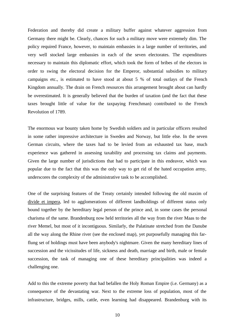Federation and thereby did create a military buffer against whatever aggression from Germany there might be. Clearly, chances for such a military move were extremely dim. The policy required France, however, to maintain embassies in a large number of territories, and very well stocked large embassies in each of the seven electorates. The expenditures necessary to maintain this diplomatic effort, which took the form of bribes of the electors in order to swing the electoral decision for the Emperor, substantial subsidies to military campaigns etc., is estimated to have stood at about 5 % of total outlays of the French Kingdom annually. The drain on French resources this arrangement brought about can hardly be overestimated. It is generally believed that the burden of taxation (and the fact that these taxes brought little of value for the taxpaying Frenchman) contributed to the French Revolution of 1789.

The enormous war bounty taken home by Swedish soldiers and in particular officers resulted in some rather impressive architecture in Sweden and Norway, but little else. In the seven German circuits, where the taxes had to be levied from an exhausted tax base, much experience was gathered in assessing taxability and processing tax claims and payments. Given the large number of jurisdictions that had to participate in this endeavor, which was popular due to the fact that this was the only way to get rid of the hated occupation army, underscores the complexity of the administrative task to be accomplished.

One of the surprising features of the Treaty certainly intended following the old maxim of divide et impera, led to agglomerations of different landholdings of different status only bound together by the hereditary legal person of the prince and, in some cases the personal charisma of the same. Brandenburg now held territories all the way from the river Maas to the river Memel, but most of it incontiguous. Similarly, the Palatinate stretched from the Danube all the way along the Rhine river (see the enclosed map), yet purposefully managing this farflung set of holdings must have been anybody's nightmare. Given the many hereditary lines of succession and the vicissitudes of life, sickness and death, marriage and birth, male or female succession, the task of managing one of these hereditary principalities was indeed a challenging one.

Add to this the extreme poverty that had befallen the Holy Roman Empire (i.e. Germany) as a consequence of the devastating war. Next to the extreme loss of population, most of the infrastructure, bridges, mills, cattle, even learning had disappeared. Brandenburg with its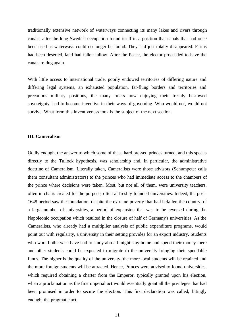traditionally extensive network of waterways connecting its many lakes and rivers through canals, after the long Swedish occupation found itself in a position that canals that had once been used as waterways could no longer be found. They had just totally disappeared. Farms had been deserted, land had fallen fallow. After the Peace, the elector proceeded to have the canals re-dug again.

With little access to international trade, poorly endowed territories of differing nature and differing legal systems, an exhausted population, far-flung borders and territories and precarious military positions, the many rulers now enjoying their freshly bestowed sovereignty, had to become inventive in their ways of governing. Who would not, would not survive. What form this inventiveness took is the subject of the next section.

# **III. Cameralism**

Oddly enough, the answer to which some of these hard pressed princes turned, and this speaks directly to the Tullock hypothesis, was scholarship and, in particular, the administrative doctrine of Cameralism. Literally taken, Cameralists were those advisors (Schumpeter calls them consultant administrators) to the princes who had immediate access to the chambers of the prince where decisions were taken. Most, but not all of them, were university teachers, often in chairs created for the purpose, often at freshly founded universities. Indeed, the post-1648 period saw the foundation, despite the extreme poverty that had befallen the country, of a large number of universities, a period of expansion that was to be reversed during the Napoleonic occupation which resulted in the closure of half of Germany's universities. As the Cameralists, who already had a multiplier analysis of public expenditure programs, would point out with regularity, a university in their setting provides for an export industry. Students who would otherwise have had to study abroad might stay home and spend their money there and other students could be expected to migrate to the university bringing their spendable funds. The higher is the quality of the university, the more local students will be retained and the more foreign students will be attracted. Hence, Princes were advised to found universities, which required obtaining a charter from the Emperor, typically granted upon his election, when a proclamation as the first imperial act would essentially grant all the privileges that had been promised in order to secure the election. This first declaration was called, fittingly enough, the pragmatic act.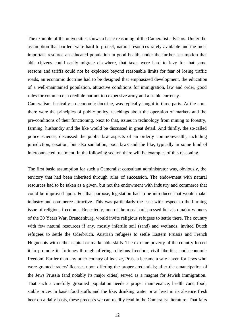The example of the universities shows a basic reasoning of the Cameralist advisors. Under the assumption that borders were hard to protect, natural resources rarely available and the most important resource an educated population in good health, under the further assumption that able citizens could easily migrate elsewhere, that taxes were hard to levy for that same reasons and tariffs could not be exploited beyond reasonable limits for fear of losing traffic roads, an economic doctrine had to be designed that emphasized development, the education of a well-maintained population, attractive conditions for immigration, law and order, good rules for commerce, a credible but not too expensive army and a stable currency.

Cameralism, basically an economic doctrine, was typically taught in three parts. At the core, there were the principles of public policy, teachings about the operation of markets and the pre-conditions of their functioning. Next to that, issues in technology from mining to forestry, farming, husbandry and the like would be discussed in great detail. And thirdly, the so-called police science, discussed the public law aspects of an orderly commonwealth, including jurisdiction, taxation, but also sanitation, poor laws and the like, typically in some kind of interconnected treatment. In the following section there will be examples of this reasoning.

The first basic assumption for such a Cameralist consultant administrator was, obviously, the territory that had been inherited through rules of succession. The endowment with natural resources had to be taken as a given, but not the endowment with industry and commerce that could be improved upon. For that purpose, legislation had to be introduced that would make industry and commerce attractive. This was particularly the case with respect to the burning issue of religious freedoms. Repeatedly, one of the most hard pressed but also major winners of the 30 Years War, Brandenburg, would invite religious refugees to settle there. The country with few natural resources if any, mostly infertile soil (sand) and wetlands, invited Dutch refugees to settle the Oderbruch, Austrian refugees to settle Eastern Prussia and French Huguenots with either capital or marketable skills. The extreme poverty of the country forced it to promote its fortunes through offering religious freedom, civil liberties, and economic freedom. Earlier than any other country of its size, Prussia became a safe haven for Jews who were granted traders' licenses upon offering the proper credentials; after the emancipation of the Jews Prussia (and notably its major cities) served as a magnet for Jewish immigration. That such a carefully groomed population needs a proper maintenance, health care, food, stable prices in basic food stuffs and the like, drinking water or at least in its absence fresh beer on a daily basis, these precepts we can readily read in the Cameralist literature. That fairs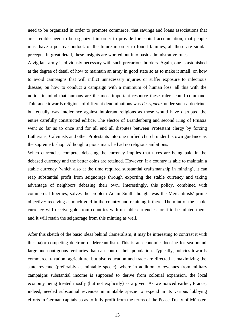need to be organized in order to promote commerce, that savings and loans associations that are credible need to be organized in order to provide for capital accumulation, that people must have a positive outlook of the future in order to found families, all these are similar precepts. In great detail, these insights are worked out into basic administrative rules.

A vigilant army is obviously necessary with such precarious borders. Again, one is astonished at the degree of detail of how to maintain an army in good state so as to make it small; on how to avoid campaigns that will inflict unnecessary injuries or suffer exposure to infectious disease; on how to conduct a campaign with a minimum of human loss: all this with the notion in mind that humans are the most important resource these rulers could command. Tolerance towards religions of different denominations was *de rigueur* under such a doctrine; but equally was intolerance against intolerant religions as those would have disrupted the entire carefully constructed edifice. The elector of Brandenburg and second King of Prussia went so far as to once and for all end all disputes between Protestant clergy by forcing Lutherans, Calvinists and other Protestants into one unified church under his own guidance as the supreme bishop. Although a pious man, he had no religious ambitions.

When currencies compete, debasing the currency implies that taxes are being paid in the debased currency and the better coins are retained. However, if a country is able to maintain a stable currency (which also at the time required substantial craftsmanship in minting), it can reap substantial profit from seignorage through exporting the stable currency and taking advantage of neighbors debasing their own. Interestingly, this policy, combined with commercial liberties, solves the problem Adam Smith thought was the Mercantilists' prime objective: receiving as much gold in the country and retaining it there. The mint of the stable currency will receive gold from countries with unstable currencies for it to be minted there, and it will retain the seignorage from this minting as well.

After this sketch of the basic ideas behind Cameralism, it may be interesting to contrast it with the major competing doctrine of Mercantilism. This is an economic doctrine for sea-bound large and contiguous territories that can control their population. Typically, policies towards commerce, taxation, agriculture, but also education and trade are directed at maximizing the state revenue (preferably as mintable specie), where in addition to revenues from military campaigns substantial income is supposed to derive from colonial expansion, the local economy being treated mostly (but not explicitly) as a given. As we noticed earlier, France, indeed, needed substantial revenues in mintable specie to expend in its various lobbying efforts in German capitals so as to fully profit from the terms of the Peace Treaty of Münster.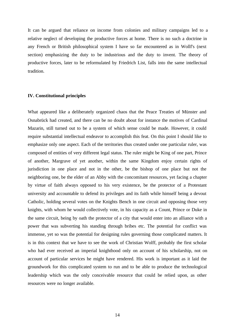It can be argued that reliance on income from colonies and military campaigns led to a relative neglect of developing the productive forces at home. There is no such a doctrine in any French or British philosophical system I have so far encountered as in Wollf's (next section) emphasizing the duty to be industrious and the duty to invent. The theory of productive forces, later to be reformulated by Friedrich List, falls into the same intellectual tradition.

## **IV. Constitutional principles**

What appeared like a deliberately organized chaos that the Peace Treaties of Münster and Osnabrück had created, and there can be no doubt about for instance the motives of Cardinal Mazarin, still turned out to be a system of which sense could be made. However, it could require substantial intellectual endeavor to accomplish this feat. On this point I should like to emphasize only one aspect. Each of the territories thus created under one particular ruler, was composed of entities of very different legal status. The ruler might be King of one part, Prince of another, Margrave of yet another, within the same Kingdom enjoy certain rights of jurisdiction in one place and not in the other, be the bishop of one place but not the neighboring one, be the elder of an Abby with the concomitant resources, yet facing a chapter by virtue of faith always opposed to his very existence, be the protector of a Protestant university and accountable to defend its privileges and its faith while himself being a devout Catholic, holding several votes on the Knights Bench in one circuit and opposing those very knights, with whom he would collectively vote, in his capacity as a Count, Prince or Duke in the same circuit, being by oath the protector of a city that would enter into an alliance with a power that was subverting his standing through bribes etc. The potential for conflict was immense, yet so was the potential for designing rules governing those complicated matters. It is in this context that we have to see the work of Christian Wolff, probably the first scholar who had ever received an imperial knighthood only on account of his scholarship, not on account of particular services he might have rendered. His work is important as it laid the groundwork for this complicated system to run and to be able to produce the technological leadership which was the only conceivable resource that could be relied upon, as other resources were no longer available.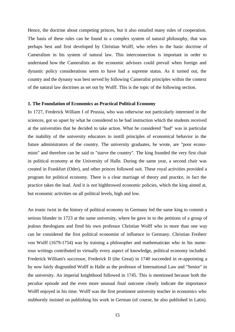Hence, the doctrine about competing princes, but it also entailed many rules of cooperation. The basis of these rules can be found in a complex system of natural philosophy, that was perhaps best and first developed by Christian Wolff, who refers to the basic doctrine of Cameralism in his system of natural law. This interconnection is important in order to understand how the Cameralists as the economic advisors could prevail when foreign and dynastic policy considerations seem to have had a supreme status. As it turned out, the country and the dynasty was best served by following Cameralist principles within the context of the natural law doctrines as set out by Wolff. This is the topic of the following section.

#### **1. The Foundation of Economics as Practical Political Economy**

In 1727, Frederick William I of Prussia, who was otherwise not particularly interested in the sciences, got so upset by what he considered to be bad instruction which the students received at the universities that he decided to take action. What he considered "bad" was in particular the inability of the university educators to instill principles of economical behavior in the future administrators of the country. The university graduates, he wrote, are "poor economists" and therefore can be said to "starve the country". The king founded the very first chair in political economy at the University of Halle. During the same year, a second chair was created in Frankfurt (Oder), and other princes followed suit. These royal activities provided a program for political economy. There is a clear marriage of theory and practice, in fact the practice takes the lead. And it is not highbrowed economic policies, which the king aimed at, but economic activities on all political levels, high and low.

An ironic twist in the history of political economy in Germany led the same king to commit a serious blunder in 1723 at the same university, where he gave in to the petitions of a group of jealous theologians and fired his own professor Christian Wolff who in more than one way can be considered the first political economist of influence in Germany. Christian Freiherr von Wolff (1679-1754) was by training a philosopher and mathematician who in his numerous writings contributed to virtually every aspect of knowledge, political economy included. Frederick William's successor, Frederick II (the Great) in 1740 succeeded in re-appointing a by now fairly disgruntled Wolff in Halle as the professor of International Law and "Senior" in the university. An imperial knighthood followed in 1745. This is mentioned because both the peculiar episode and the even more unusual final outcome clearly indicate the importance Wolff enjoyed in his time. Wolff was the first prominent university teacher in economics who stubbornly insisted on publishing his work in German (of course, he also published in Latin).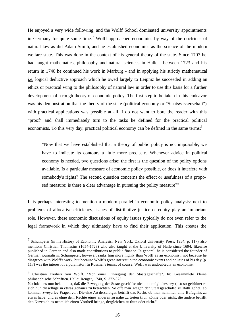He enjoyed a very wide following, and the Wolff School dominated university appointments in Germany for quite some time.<sup>7</sup> Wolff approached economics by way of the doctrines of natural law as did Adam Smith, and he established economics as the science of the modern welfare state. This was done in the context of his general theory of the state. Since 1707 he had taught mathematics, philosophy and natural sciences in Halle - between 1723 and his return in 1740 he continued his work in Marburg - and in applying his strictly mathematical i.e. logical deductive approach which he owed largely to Leipniz he succeeded in adding an ethics or practical wing to the philosophy of natural law in order to use this basis for a further development of a rough theory of economic policy. The first step to be taken in this endeavor was his demonstration that the theory of the state (political economy or "Staatswissenschaft") with practical applications was possible at all. I do not want to bore the reader with this "proof" and shall immediately turn to the tasks he defined for the practical political economists. To this very day, practical political economy can be defined in the same terms:<sup>8</sup>

"Now that we have established that a theory of public policy is not impossible, we have to indicate its contours a little more precisely. Whenever advice in political economy is needed, two questions arise: the first is the question of the policy options available. Is a particular measure of economic policy possible, or does it interfere with somebody's rights? The second question concerns the effect or usefulness of a proposed measure: is there a clear advantage in pursuing the policy measure?"

It is perhaps interesting to mention a modern parallel in economic policy analysis: next to problems of allocative efficiency, issues of distributive justice or equity play an important role. However, these economic discussions of equity issues typically do not even refer to the legal framework in which they ultimately have to find their application. This creates the

<sup>&</sup>lt;sup>7</sup> Schumpeter (in his History of Economic Analysis. New York: Oxford University Press, 1954, p. 117) also mentions Christian Thomasius (1654-1728) who also taught at the University of Halle since 1694, likewise published in German and also made contributions to public finance. In general, he is considered the founder of German journalism. Schumpeter, however, ranks him more highly than Wolff as an economist, not because he disagrees with Wolff's work, but because Wolff's great interest in the economic events and policies of his day (p. 117) was the interest of a polyhistor. In Roscher's terms, of course, Wolff was undoubtedly an economist.

<sup>&</sup>lt;sup>8</sup> Christian Freiherr von Wolff, "Von einer Erwegung der Staatsgeschäfte". In: Gesammlete kleine philosophische Schrifften. Halle: Renger, 1740, S. 372-373.

Nachdem es nun bekannt ist, daß die Erwegung der Staatsgeschäfte nichts unmögliches sey (...): so gebühret es sich nun dieselbige in etwas genauer zu betrachten. So offt man wegen der Staatsgeschäfte zu Rath gehet, so kommen zweyerley Fragen vor. Die eine Art derselbigen betrifft das Recht, ob man nehmlich eine Befugniss zu etwas habe, und es ohne dem Rechte eines anderen zu nahe zu treten thun könne oder nicht; die andere betrifft den Nuzen ob es nehmlich einen Vortheil bringe, dergleichen zu thun oder nicht."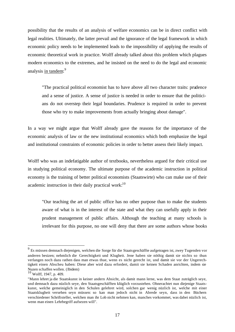possibility that the results of an analysis of welfare economics can be in direct conflict with legal realities. Ultimately, the latter prevail and the ignorance of the legal framework in which economic policy needs to be implemented leads to the impossibility of applying the results of economic theoretical work in practice. Wolff already talked about this problem which plagues modern economics to the extremes, and he insisted on the need to do the legal and economic analysis in tandem:<sup>9</sup>

"The practical political economist has to have above all two character traits: prudence and a sense of justice. A sense of justice is needed in order to ensure that the politicians do not overstep their legal boundaries. Prudence is required in order to prevent those who try to make improvements from actually bringing about damage".

In a way we might argue that Wolff already gave the reasons for the importance of the economic analysis of law or the new institutional economics which both emphasize the legal and institutional constraints of economic policies in order to better assess their likely impact.

Wolff who was an indefatigable author of textbooks, nevertheless argued for their critical use in studying political economy. The ultimate purpose of the academic instruction in political economy is the training of better political economists (Staatswirte) who can make use of their academic instruction in their daily practical work:<sup>10</sup>

"Our teaching the art of public office has no other purpose than to make the students aware of what is in the interest of the state and what they can usefully apply in their prudent management of public affairs. Although the teaching at many schools is irrelevant for this purpose, no one will deny that there are some authors whose books

 9 Es müssen demnach diejenigen, welchen die Sorge für die Staatsgeschäffte aufgetragen ist, zwey Tugenden vor anderen besizen; nehmlich die Gerechtigkeit und Klugheit. Jene haben sie nöthig damit sie nichts so thun verlangen noch dazu rathen dass man etwas thue, wenn es nicht gerecht ist, und damit sie vor der Ungerechtigkeit einen Abscheu haben: Diese aber wird dazu erfordert, damit sie keinen Schaden anrichten, indem sie Nuzen schaffen wollen. (Ibidem)

<sup>10</sup> Wolff, 1947, p. 409.

<sup>&</sup>quot;Mann lehret ja die Staatskunst in keiner andern Absicht, als damit mann lerne, was dem Staat zuträglich seye, und demnach dazu nüzlich seye, den Staatsgeschäfften klüglich vorzustehen. Ohnerachtet nun diejenige Staatskunst, welche gemeiniglich in den Schulen gelehret wird, solchen gar wenig nüzlich ist, welche mit einer Staatsklugheit versehen seyn müssen: so kan man jedoch nicht in Abrede seyn, dass in den Büchern verschiedener Schriftsteller, welchen man ihr Lob nicht nehmen kan, manches vorkommet, was dabei nüzlich ist, wenn man einen Lehrbegriff aufsezen will".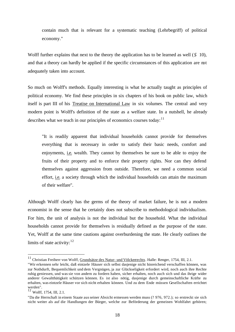contain much that is relevant for a systematic teaching (Lehrbegriff) of political economy."

Wolff further explains that next to the theory the application has to be learned as well  $(\frac{6}{10})$ , and that a theory can hardly be applied if the specific circumstances of this application are not adequately taken into account.

So much on Wolff's methods. Equally interesting is what he actually taught as principles of political economy. We find these principles in six chapters of his book on public law, which itself is part III of his Treatise on International Law in six volumes. The central and very modern point is Wolff's definition of the state as a welfare state. In a nutshell, he already describes what we teach in our principles of economics courses today:  $11$ 

"It is readily apparent that individual households cannot provide for themselves everything that is necessary in order to satisfy their basic needs, comfort and enjoyments, *i.e.* wealth. They cannot by themselves be sure to be able to enjoy the fruits of their property and to enforce their property rights. Nor can they defend themselves against aggression from outside. Therefore, we need a common social effort, i.e. a society through which the individual households can attain the maximum of their welfare".

Although Wolff clearly has the germs of the theory of market failure, he is not a modern economist in the sense that he certainly does not subscribe to methodological individualism. For him, the unit of analysis is not the individual but the household. What the individual households cannot provide for themselves is residually defined as the purpose of the state. Yet, Wolff at the same time cautions against overburdening the state. He clearly outlines the limits of state activity:  $12$ 

 $^{11}$  Christian Freiherr von Wolff, Grundsätze des Natur- und Völckerrechts. Halle: Renger, 1754, III, 2.1.

<sup>&</sup>quot;Wir erkennen sehr leicht, daß eintzele Häuser sich selbst dasjenige nicht hinreichend verschaffen können, was zur Nothdurft, Bequemlichkeit und dem Vergnügen, ja zur Glückseligkeit erfordert wird, noch auch ihre Rechte ruhig geniessen, und was sie von andern zu fordern haben, sicher erhalten, noch auch sich und das ihrige wider anderer Gewaltthätigkeit schützen können. Es ist also nötig, dasjenige durch gemeinschaftliche Kräfte zu erhalten, was eintzele Häuser vor sich nicht erhalten können. Und zu dem Ende müssen Gesellschaften errichtet werden".

<sup>12</sup> Wolff, 1754, III, 2.1.

<sup>&</sup>quot;Da die Herrschaft in einem Staate aus seiner Absicht ermessen werden muss (? 976, 972.); so erstreckt sie sich nicht weiter als auf die Handlungen der Bürger, welche zur Beförderung der gemeinen Wohlfahrt gehören;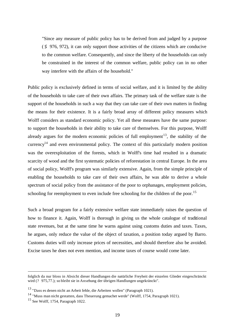"Since any measure of public policy has to be derived from and judged by a purpose  $($   $\%$  976, 972), it can only support those activities of the citizens which are conducive to the common welfare. Consequently, and since the liberty of the households can only be constrained in the interest of the common welfare, public policy can in no other way interfere with the affairs of the household."

Public policy is exclusively defined in terms of social welfare, and it is limited by the ability of the households to take care of their own affairs. The primary task of the welfare state is the support of the households in such a way that they can take care of their own matters in finding the means for their existence. It is a fairly broad array of different policy measures which Wolff considers as standard economic policy. Yet all these measures have the same purpose: to support the households in their ability to take care of themselves. For this purpose, Wolff already argues for the modern economic policies of full employment<sup>13</sup>, the stability of the currency<sup>14</sup> and even environmental policy. The context of this particularly modern position was the overexploitation of the forests, which in Wolff's time had resulted in a dramatic scarcity of wood and the first systematic policies of reforestation in central Europe. In the area of social policy, Wolff's program was similarly extensive. Again, from the simple principle of enabling the households to take care of their own affairs, he was able to derive a whole spectrum of social policy from the assistance of the poor to orphanages, employment policies, schooling for reemployment to even include free schooling for the children of the poor.<sup>15</sup>

Such a broad program for a fairly extensive welfare state immediately raises the question of how to finance it. Again, Wolff is thorough in giving us the whole catalogue of traditional state revenues, but at the same time he warns against using customs duties and taxes. Taxes, he argues, only reduce the value of the object of taxation, a position today argued by Barro. Customs duties will only increase prices of necessities, and should therefore also be avoided. Excise taxes he does not even mention, and income taxes of course would come later.

folglich da nur bloss in Absicht dieser Handlungen die natürliche Freyheit der einzelen Glieder eingeschränckt wird (? 975,77.); so bleibt sie in Ansehung der übrigen Handlungen ungekränckt".

 $13$  "Dass es denen nicht an Arbeit fehle, die Arbeiten wollen" (Paragraph 1021).

<sup>&</sup>lt;sup>14</sup> "Muss man nicht gestatten, dass Theuerung gemachet werde" (Wolff, 1754, Paragraph 1021).

<sup>15</sup> See Wolff, 1754, Paragraph 1022.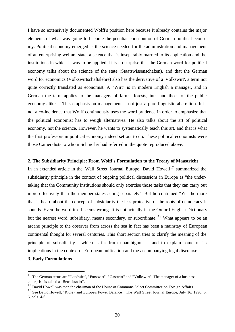I have so extensively documented Wolff's position here because it already contains the major elements of what was going to become the peculiar contribution of German political economy. Political economy emerged as the science needed for the administration and management of an enterprising welfare state, a science that is inseparably married to its application and the institutions in which it was to be applied. It is no surprise that the German word for political economy talks about the science of the state (Staatswissenschaften), and that the German word for economics (Volkswirtschaftslehre) also has the derivative of a 'Volkswirt', a term not quite correctly translated as economist. A "Wirt" is in modern English a manager, and in German the term applies to the managers of farms, forests, inns and those of the public economy alike.<sup>16</sup> This emphasis on management is not just a pure linguistic aberration. It is not a co-incidence that Wolff continuously uses the word prudence in order to emphasize that the political economist has to weigh alternatives. He also talks about the art of political economy, not the science. However, he wants to systematically teach this art, and that is what the first professors in political economy indeed set out to do. These political economists were those Cameralists to whom Schmoller had referred in the quote reproduced above.

## **2. The Subsidiarity Principle: From Wolff's Formulation to the Treaty of Maastricht**

In an extended article in the Wall Street Journal Europe, David Howell<sup>17</sup> summarized the subsidiarity principle in the context of ongoing political discussions in Europe as "the undertaking that the Community institutions should only exercise those tasks that they can carry out more effectively than the member states acting separately". But he continued "Yet the more that is heard about the concept of subsidiarity the less protective of the roots of democracy it sounds. Even the word itself seems wrong. It is not actually in the Oxford English Dictionary but the nearest word, subsidiary, means secondary, or subordinate.<sup>"18</sup> What appears to be an arcane principle to the observer from across the sea in fact has been a mainstay of European continental thought for several centuries. This short section tries to clarify the meaning of the principle of subsidiarity - which is far from unambiguous - and to explain some of its implications in the context of European unification and the accompanying legal discourse.

### **3. Early Formulations**

<sup>16</sup> The German terms are " Landwirt", "Forstwirt", " Gastwirt" and "Volkswirt". The manager of a business enterprise is called a "Betriebswirt".

 $17$  David Howell was then the chairman of the House of Commons Select Committee on Foreign Affairs.

<sup>&</sup>lt;sup>18</sup> See David Howell, "Ridley and Europe's Power Balance". The Wall Street Journal Europe, July 16, 1990, p. 6, cols. 4-6.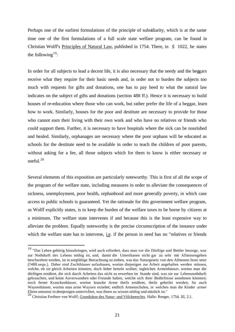Perhaps one of the earliest formulations of the principle of subsidiarity, which is at the same time one of the first formulations of a full scale state welfare program, can be found in Christian Wolff's Principles of Natural Law, published in 1754. There, in  $\frac{1022}{1022}$ , he states the following<sup>19</sup>:

In order for all subjects to lead a decent life, it is also necessary that the needy and the beggars receive what they require for their basic needs and, in order not to burden the subjects too much with requests for gifts and donations, one has to pay heed to what the natural law indicates on the subject of gifts and donations (section 488 ff.). Hence it is necessary to build houses of re-education where those who can work, but rather prefer the life of a beggar, learn how to work. Similarly, houses for the poor and destitute are necessary to provide for those who cannot earn their living with their own work and who have no relatives or friends who could support them. Further, it is necessary to have hospitals where the sick can be nourished and healed. Similarly, orphanages are necessary where the poor orphans will be educated as schools for the destitute need to be available in order to teach the children of poor parents, without asking for a fee, all those subjects which for them to know is either necessary or useful. $20$ 

Several elements of this exposition are particularly noteworthy. This is first of all the scope of the program of the welfare state, including measures in order to alleviate the consequences of sickness, unemployment, poor health, orphanhood and more generally poverty, in which case access to public schools is guaranteed. Yet the rationale for this government welfare program, as Wolff explicitly states, is to keep the burden of the welfare taxes to be borne by citizens at a minimum. The welfare state intervenes if and because this is the least expensive way to alleviate the problem. Equally noteworthy is the precise circumscription of the instance under which the welfare state has to intervene, i.e. if the person in need has no "relatives or friends

<sup>&</sup>lt;sup>19</sup> "Das Leben gehörig hinzubringen, wird auch erfordert, dass man vor die Dürftige und Bettler besorge, was zur Nothdurft des Lebens nöthig ist, und, damit die Unterthanen nicht gar zu sehr mit Allmosengeben beschwehret werden, ist in sorgfältige Betrachtung zu ziehen, was das Naturgesetz von den Allmosen feste setzt (?488.sequ.). Daher sind Zuchthäuser aufzubauen, worinn diejenigen zur Arbeit angehalten werden müssen, welche, ob sie gleich Arbeiten könnten, doch lieber betteln wollen; ingleichen Armenhäuser, worinn man die dürftigen ernähret, die sich durch Arbeiten das nicht zu erwerben im Stande sind, was sie zur Lebensnothdurft gebrauchen, und keine Anverwandten oder Freunde haben, welche sich ihrer Bedürfnisse annehmen könnten; noch ferner Kranckenhäuser, worinn krancke Arme theils ernähret, theils geheilet werden; So auch Waysenhäuser, worinn man arme Waysen erziehet; endlich Armenschulen, in welchen man die Kinder armer Eltern umsonst in demjenigen unterrichtet, was ihnen zu wissen nöthig und nützlich ist."

<sup>&</sup>lt;sup>20</sup> Christian Freiherr von Wolff, Grundsätze des Natur- und Völckerrechts. Halle: Renger, 1754, III, 2.1.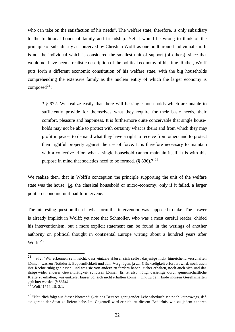who can take on the satisfaction of his needs". The welfare state, therefore, is only subsidiary to the traditional bonds of family and friendship. Yet it would be wrong to think of the principle of subsidiarity as conceived by Christian Wolff as one built around individualism. It is not the individual which is considered the smallest unit of support (of others), since that would not have been a realistic description of the political economy of his time. Rather, Wolff puts forth a different economic constitution of his welfare state, with the big households comprehending the extensive family as the nuclear entity of which the larger economy is composed $^{21}$ :

? § 972. We realize easily that there will be single households which are unable to sufficiently provide for themselves what they require for their basic needs, their comfort, pleasure and happiness. It is furthermore quite conceivable that single households may not be able to protect with certainty what is theirs and from which they may profit in peace, to demand what they have a right to receive from others and to protect their rightful property against the use of force. It is therefore necessary to maintain with a collective effort what a single household cannot maintain itself. It is with this purpose in mind that societies need to be formed. (§ 836).?  $22$ 

We realize then, that in Wolff's conception the principle supporting the unit of the welfare state was the house, i.e. the classical household or micro-economy; only if it failed, a larger politico-economic unit had to intervene.

The interesting question then is what form this intervention was supposed to take. The answer is already implicit in Wolff; yet note that Schmoller, who was a most careful reader, chided his interventionism; but a more explicit statement can be found in the writings of another authority on political thought in continental Europe writing about a hundred years after Wolff. <sup>23</sup>

 $^{21}$  § 972. "Wir erkennen sehr leicht, dass eintzele Häuser sich selbst dasjenige nicht hinreichend verschaffen können, was zur Nothdurft, Bequemlichkeit und dem Vergnügen, ja zur Glückseligkeit erfordert wird, noch auch ihre Rechte ruhig geniessen, und was sie von andern zu fordern haben, sicher erhalten, noch auch sich und das ihrige wider anderer Gewaltthätigkeit schützen können. Es ist also nötig, dasjenige durch gemeinschaftliche Kräfte zu erhalten, was eintzele Häuser vor sich nicht erhalten können. Und zu dem Ende müssen Gesellschaften errichtet werden (§ 836).?

 $^{22}$  Wolff 1754, III, 2.1.

<sup>&</sup>lt;sup>23</sup> "Natürlich folgt aus dieser Notwendigkeit des Besitzes genügender Lebensbedürfnisse noch keineswegs, daß sie gerade der Staat zu liefern habe. Im Gegenteil wird er sich zu diesem Bedürfnis wie zu jedem anderen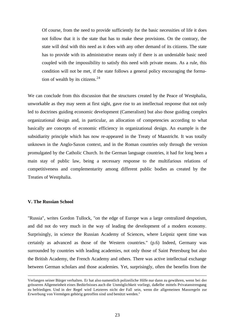Of course, from the need to provide sufficiently for the basic necessities of life it does not follow that it is the state that has to make these provisions. On the contrary, the state will deal with this need as it does with any other demand of its citizens. The state has to provide with its administrative means only if there is an undeniable basic need coupled with the impossibility to satisfy this need with private means. As a rule, this condition will not be met, if the state follows a general policy encouraging the formation of wealth by its citizens. $24$ 

We can conclude from this discussion that the structures created by the Peace of Westphalia, unworkable as they may seem at first sight, gave rise to an intellectual response that not only led to doctrines guiding economic development (Cameralism) but also those guiding complex organizational design and, in particular, an allocation of competencies according to what basically are concepts of economic efficiency in organizational design. An example is the subsidiarity principle which has now re-appeared in the Treaty of Maastricht. It was totally unknown in the Anglo-Saxon context, and in the Roman countries only through the version promulgated by the Catholic Church. In the German language countries, it had for long been a main stay of public law, being a necessary response to the multifarious relations of competitiveness and complementarity among different public bodies as created by the Treaties of Westphalia.

# **V. The Russian School**

l

"Russia", writes Gordon Tullock, "on the edge of Europe was a large centralized despotism, and did not do very much in the way of leading the development of a modern economy. Surprisingly, in science the Russian Academy of Sciences, where Leipniz spent time was certainly as advanced as those of the Western countries." (p.6) Indeed, Germany was surrounded by countries with leading academies, not only those of Saint Petersburg but also the British Academy, the French Academy and others. There was active intellectual exchange between German scholars and those academies. Yet, surprisingly, often the benefits from the

Verlangen seiner Bürger verhalten. Er hat also namentlich polizeiliche Hilfe nur dann zu gewähren, wenn bei der grösseren Allgemeinheit eines Bedürfnisses auch die Unmöglichkeit vorliegt, daßelbe mittels Privatanstrengung zu befriedigen. Und in der Regel wird Letzteres nicht der Fall sein, wenn die allgemeinen Massregeln zur Erwerbung von Vermögen gehörig getroffen sind und benützt werden."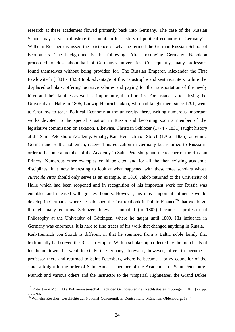research at these academies flowed primarily back into Germany. The case of the Russian School may serve to illustrate this point. In his history of political economy in Germany<sup>25</sup>, Wilhelm Roscher discussed the existence of what he termed the German-Russian School of Economists. The background is the following. After occupying Germany, Napoleon proceeded to close about half of Germany's universities. Consequently, many professors found themselves without being provided for. The Russian Emperor, Alexander the First Pawlowitsch (1801 - 1825) took advantage of this catastrophe and sent recruiters to hire the displaced scholars, offering lucrative salaries and paying for the transportation of the newly hired and their families as well as, importantly, their libraries. For instance, after closing the University of Halle in 1806, Ludwig Heinrich Jakob, who had taught there since 1791, went to Charkow to teach Political Economy at the university there, writing numerous important works devoted to the special situation in Russia and becoming soon a member of the legislative commission on taxation. Likewise, Christian Schlözer (1774 - 1831) taught history at the Saint Petersburg Academy. Finally, Karl-Heinrich von Storch (1766 - 1835), an ethnic German and Baltic nobleman, received his education in Germany but returned to Russia in order to become a member of the Academy in Saint Petersburg and the teacher of the Russian Princes. Numerous other examples could be cited and for all the then existing academic disciplines. It is now interesting to look at what happened with these three scholars whose *curricula vitae* should only serve as an example. In 1816, Jakob returned to the University of Halle which had been reopened and in recognition of his important work for Russia was ennobled and released with greatest honors. However, his most important influence would develop in Germany, where he published the first textbook in Public Finance<sup>26</sup> that would go through many editions. Schlözer, likewise ennobled (in 1802) became a professor of Philosophy at the University of Göttingen, where he taught until 1809. His influence in Germany was enormous, it is hard to find traces of his work that changed anything in Russia. Karl-Heinrich von Storch is different in that he stemmed from a Baltic noble family that

traditionally had served the Russian Empire. With a scholarship collected by the merchants of his home town, he went to study in Germany, forewent, however, offers to become a professor there and returned to Saint Petersburg where he became a privy councilor of the state, a knight in the order of Saint Anne, a member of the Academies of Saint Petersburg, Munich and various others and the instructor to the "Imperial Highnesses, the Grand Dukes

<sup>&</sup>lt;sup>24</sup> Robert von Mohl, <u>Die Polizeiwissenschaft nach den Grundsätzen des Rechtsstaates</u>, Tübingen, 1844 (2), pp. 265-266.

<sup>&</sup>lt;sup>25</sup> Wilhelm Roscher, Geschichte der National-Oekonomik in Deutschland, München: Oldenbourg, 1874.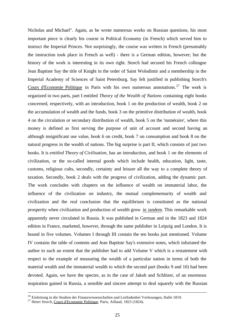Nicholas and Michael". Again, as he wrote numerous works on Russian questions, his most important piece is clearly his course in Political Economy (in French) which served him to instruct the Imperial Princes. Not surprisingly, the course was written in French (presumably the instruction took place in French as well) - there is a German edition, however; but the history of the work is interesting in its own right. Storch had secured his French colleague Jean Baptiste Say the title of Knight in the order of Saint Wolodimir and a membership in the Imperial Academy of Sciences of Saint Petersburg. Say felt justified in publishing Storch's Cours d'Economie Politique in Paris with his own numerous annotations.<sup>27</sup> The work is organized in two parts, part I entitled *Theory of the Wealth of Nations* containing eight books concerned, respectively, with an introduction, book 1 on the production of wealth, book 2 on the accumulation of wealth and the funds, book 3 on the primitive distribution of wealth, book 4 on the circulation or secondary distribution of wealth, book 5 on the 'numéraire', where this money is defined as first serving the purpose of unit of account and second having an although insignificant use value, book 6 on credit, book 7 on consumption and book 8 on the natural progress in the wealth of nations. The big surprise is part II, which consists of just two books. It is *entitled Theory of Civilisation*, has an introduction, and book 1 on the elements of civilization, or the so-called internal goods which include health, education, light, taste, customs, religious cults, secondly, certainty and leisure all the way to a complete theory of taxation. Secondly, book 2 deals with the progress of civilization, adding the dynamic part. The work concludes with chapters on the influence of wealth on immaterial labor, the influence of the civilization on industry, the mutual complementarity of wealth and civilization and the real conclusion that the equilibrium is constituted as the national prosperity when civilization and production of wealth grow in tandem. This remarkable work apparently never circulated in Russia. It was published in German and in the 1823 and 1824 edition in France, marketed, however, through the same publisher in Leipzig and London. It is bound in five volumes. Volumes I through III contain the ten books just mentioned. Volume IV contains the table of contents and Jean Baptiste Say's extensive notes, which infuriated the author to such an extent that the publisher had to add Volume V which is a restatement with respect to the example of measuring the wealth of a particular nation in terms of both the material wealth and the immaterial wealth to which the second part (books 9 and 10) had been devoted. Again, we have the spectre, as in the case of Jakob and Schlözer, of an enormous inspiration gained in Russia, a sensible and sincere attempt to deal squarely with the Russian

<sup>&</sup>lt;sup>26</sup> Einleitung in die Studien der Finanzwissenschaften und Leitfadenbei Vorlesungen, Halle 1819.

<sup>&</sup>lt;sup>27</sup> Henri Storch, Cours d'Economie Politique, Paris, Aillaud, 1823 (1824).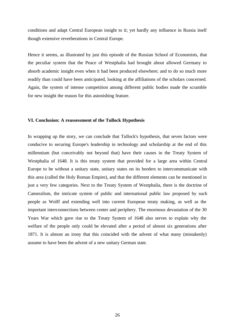conditions and adapt Central European insight to it; yet hardly any influence in Russia itself though extensive reverberations in Central Europe.

Hence it seems, as illustrated by just this episode of the Russian School of Economists, that the peculiar system that the Peace of Westphalia had brought about allowed Germany to absorb academic insight even when it had been produced elsewhere; and to do so much more readily than could have been anticipated, looking at the affiliations of the scholars concerned. Again, the system of intense competition among different public bodies made the scramble for new insight the reason for this astonishing feature.

### **VI. Conclusion: A reassessment of the Tullock Hypothesis**

In wrapping up the story, we can conclude that Tullock's hypothesis, that seven factors were conducive to securing Europe's leadership in technology and scholarship at the end of this millennium (but conceivably not beyond that) have their causes in the Treaty System of Westphalia of 1648. It is this treaty system that provided for a large area within Central Europe to be without a unitary state, unitary states on its borders to intercommunicate with this area (called the Holy Roman Empire), and that the different elements can be mentioned in just a very few categories. Next to the Treaty System of Westphalia, there is the doctrine of Cameralism, the intricate system of public and international public law proposed by such people as Wolff and extending well into current European treaty making, as well as the important interconnections between center and periphery. The enormous devastation of the 30 Years War which gave rise to the Treaty System of 1648 also serves to explain why the welfare of the people only could be elevated after a period of almost six generations after 1871. It is almost an irony that this coincided with the advent of what many (mistakenly) assume to have been the advent of a new unitary German state.